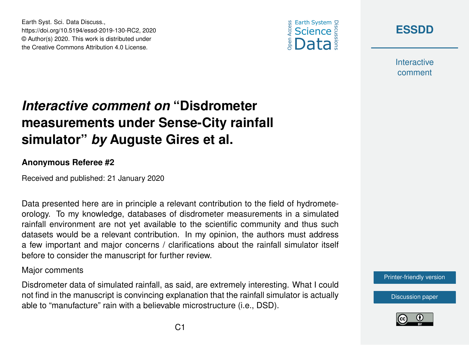



**[ESSDD](https://www.earth-syst-sci-data-discuss.net/)**

**Interactive** comment

# *Interactive comment on* **"Disdrometer measurements under Sense-City rainfall simulator"** *by* **Auguste Gires et al.**

#### **Anonymous Referee #2**

Received and published: 21 January 2020

Data presented here are in principle a relevant contribution to the field of hydrometeorology. To my knowledge, databases of disdrometer measurements in a simulated rainfall environment are not yet available to the scientific community and thus such datasets would be a relevant contribution. In my opinion, the authors must address a few important and major concerns / clarifications about the rainfall simulator itself before to consider the manuscript for further review.

#### Major comments

Disdrometer data of simulated rainfall, as said, are extremely interesting. What I could not find in the manuscript is convincing explanation that the rainfall simulator is actually able to "manufacture" rain with a believable microstructure (i.e., DSD).



[Discussion paper](https://www.earth-syst-sci-data-discuss.net/essd-2019-130)

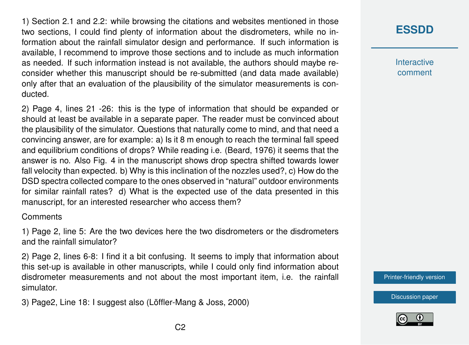1) Section 2.1 and 2.2: while browsing the citations and websites mentioned in those two sections, I could find plenty of information about the disdrometers, while no information about the rainfall simulator design and performance. If such information is available, I recommend to improve those sections and to include as much information as needed. If such information instead is not available, the authors should maybe reconsider whether this manuscript should be re-submitted (and data made available) only after that an evaluation of the plausibility of the simulator measurements is conducted.

2) Page 4, lines 21 -26: this is the type of information that should be expanded or should at least be available in a separate paper. The reader must be convinced about the plausibility of the simulator. Questions that naturally come to mind, and that need a convincing answer, are for example: a) Is it 8 m enough to reach the terminal fall speed and equilibrium conditions of drops? While reading i.e. (Beard, 1976) it seems that the answer is no. Also Fig. 4 in the manuscript shows drop spectra shifted towards lower fall velocity than expected. b) Why is this inclination of the nozzles used?, c) How do the DSD spectra collected compare to the ones observed in "natural" outdoor environments for similar rainfall rates? d) What is the expected use of the data presented in this manuscript, for an interested researcher who access them?

### **Comments**

1) Page 2, line 5: Are the two devices here the two disdrometers or the disdrometers and the rainfall simulator?

2) Page 2, lines 6-8: I find it a bit confusing. It seems to imply that information about this set-up is available in other manuscripts, while I could only find information about disdrometer measurements and not about the most important item, i.e. the rainfall simulator.

3) Page2, Line 18: I suggest also (Löffler-Mang & Joss, 2000)

## **[ESSDD](https://www.earth-syst-sci-data-discuss.net/)**

**Interactive** comment

[Printer-friendly version](https://www.earth-syst-sci-data-discuss.net/essd-2019-130/essd-2019-130-RC2-print.pdf)